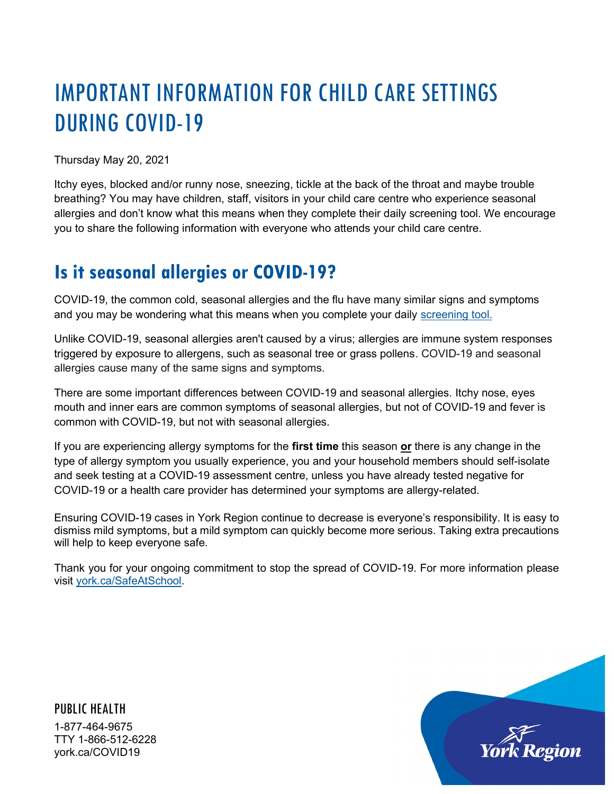## IMPORTANT INFORMATION FOR CHILD CARE SETTINGS DURING COVID-19

Thursday May 20, 2021

Itchy eyes, blocked and/or runny nose, sneezing, tickle at the back of the throat and maybe trouble breathing? You may have children, staff, visitors in your child care centre who experience seasonal allergies and don't know what this means when they complete their daily screening tool. We encourage you to share the following information with everyone who attends your child care centre.

## Is it seasonal allergies or COVID-19?

COVID-19, the common cold, seasonal allergies and the flu have many similar signs and symptoms and you may be wondering what this means when you complete your daily screening tool.

Unlike COVID-19, seasonal allergies aren't caused by a virus; allergies are immune system responses triggered by exposure to allergens, such as seasonal tree or grass pollens. COVID-19 and seasonal allergies cause many of the same signs and symptoms.

There are some important differences between COVID-19 and seasonal allergies. Itchy nose, eyes mouth and inner ears are common symptoms of seasonal allergies, but not of COVID-19 and fever is common with COVID-19, but not with seasonal allergies.

If you are experiencing allergy symptoms for the first time this season  $or$  there is any change in the type of allergy symptom you usually experience, you and your household members should self-isolate and seek testing at a COVID-19 assessment centre, unless you have already tested negative for COVID-19 or a health care provider has determined your symptoms are allergy-related.

Ensuring COVID-19 cases in York Region continue to decrease is everyone's responsibility. It is easy to dismiss mild symptoms, but a mild symptom can quickly become more serious. Taking extra precautions will help to keep everyone safe.

Thank you for your ongoing commitment to stop the spread of COVID-19. For more information please visit york.ca/SafeAtSchool.

PUBLIC HEALTH 1-877-464-9675 TTY 1-866-512-6228 york.ca/COVID19